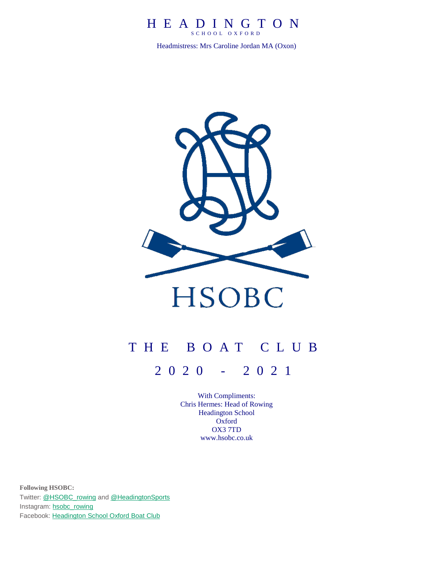## H E A D I N G T O N S C H O O L O X F O R D

Headmistress: Mrs Caroline Jordan MA (Oxon)



# T H E B O A T C L U B

2 0 2 0 - 202 1

With Compliments: Chris Hermes: Head of Rowing Headington School Oxford OX3 7TD [www.hsobc.co.uk](http://www.hsobc.co.uk/)

**Following HSOBC:** Twitter: [@HSOBC\\_rowing](https://twitter.com/HSOBC_rowing) and [@HeadingtonSports](https://twitter.com/HeadingtonSport) Instagram: [hsobc\\_rowing](http://instagram.com/hsobc_rowing) Facebook: [Headington](https://www.facebook.com/HeadingtonSchoolOxfordBoatClub?ref=bookmarks) School Oxford Boat Club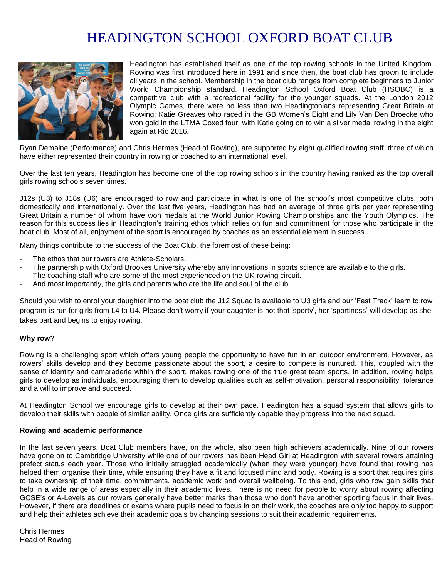# HEADINGTON SCHOOL OXFORD BOAT CLUB



Headington has established itself as one of the top rowing schools in the United Kingdom. Rowing was first introduced here in 1991 and since then, the boat club has grown to include all years in the school. Membership in the boat club ranges from complete beginners to Junior World Championship standard. Headington School Oxford Boat Club (HSOBC) is a competitive club with a recreational facility for the younger squads. At the London 2012 Olympic Games, there were no less than two Headingtonians representing Great Britain at Rowing; Katie Greaves who raced in the GB Women's Eight and Lily Van Den Broecke who won gold in the LTMA Coxed four, with Katie going on to win a silver medal rowing in the eight again at Rio 2016.

Ryan Demaine (Performance) and Chris Hermes (Head of Rowing), are supported by eight qualified rowing staff, three of which have either represented their country in rowing or coached to an international level.

Over the last ten years, Headington has become one of the top rowing schools in the country having ranked as the top overall girls rowing schools seven times.

J12s (U3) to J18s (U6) are encouraged to row and participate in what is one of the school's most competitive clubs, both domestically and internationally. Over the last five years, Headington has had an average of three girls per year representing Great Britain a number of whom have won medals at the World Junior Rowing Championships and the Youth Olympics. The reason for this success lies in Headington's training ethos which relies on fun and commitment for those who participate in the boat club. Most of all, enjoyment of the sport is encouraged by coaches as an essential element in success.

Many things contribute to the success of the Boat Club, the foremost of these being:

- The ethos that our rowers are Athlete-Scholars.
- The partnership with Oxford Brookes University whereby any innovations in sports science are available to the girls.
- The coaching staff who are some of the most experienced on the UK rowing circuit.
- And most importantly, the girls and parents who are the life and soul of the club.

Should you wish to enrol your daughter into the boat club the J12 Squad is available to U3 girls and our 'Fast Track' learn to row program is run for girls from L4 to U4. Please don't worry if your daughter is not that 'sporty', her 'sportiness' will develop as she takes part and begins to enjoy rowing.

#### **Why row?**

Rowing is a challenging sport which offers young people the opportunity to have fun in an outdoor environment. However, as rowers' skills develop and they become passionate about the sport, a desire to compete is nurtured. This, coupled with the sense of identity and camaraderie within the sport, makes rowing one of the true great team sports. In addition, rowing helps girls to develop as individuals, encouraging them to develop qualities such as self-motivation, personal responsibility, tolerance and a will to improve and succeed.

At Headington School we encourage girls to develop at their own pace. Headington has a squad system that allows girls to develop their skills with people of similar ability. Once girls are sufficiently capable they progress into the next squad.

#### **Rowing and academic performance**

In the last seven years, Boat Club members have, on the whole, also been high achievers academically. Nine of our rowers have gone on to Cambridge University while one of our rowers has been Head Girl at Headington with several rowers attaining prefect status each year. Those who initially struggled academically (when they were younger) have found that rowing has helped them organise their time, while ensuring they have a fit and focused mind and body. Rowing is a sport that requires girls to take ownership of their time, commitments, academic work and overall wellbeing. To this end, girls who row gain skills that help in a wide range of areas especially in their academic lives. There is no need for people to worry about rowing affecting GCSE's or A-Levels as our rowers generally have better marks than those who don't have another sporting focus in their lives. However, if there are deadlines or exams where pupils need to focus in on their work, the coaches are only too happy to support and help their athletes achieve their academic goals by changing sessions to suit their academic requirements.

Chris Hermes Head of Rowing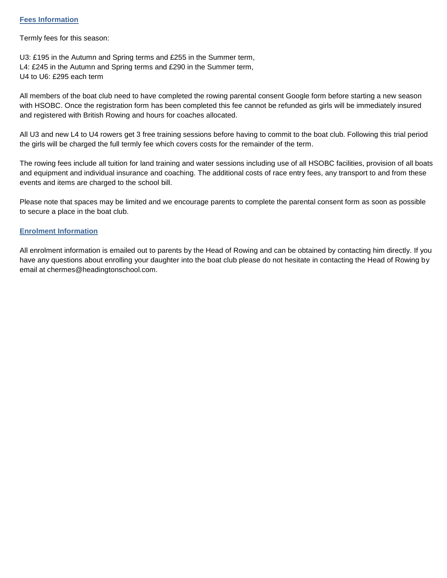## **Fees Information**

Termly fees for this season:

U3: £195 in the Autumn and Spring terms and £255 in the Summer term, L4: £245 in the Autumn and Spring terms and £290 in the Summer term, U4 to U6: £295 each term

All members of the boat club need to have completed the rowing parental consent Google form before starting a new season with HSOBC. Once the registration form has been completed this fee cannot be refunded as girls will be immediately insured and registered with British Rowing and hours for coaches allocated.

All U3 and new L4 to U4 rowers get 3 free training sessions before having to commit to the boat club. Following this trial period the girls will be charged the full termly fee which covers costs for the remainder of the term.

The rowing fees include all tuition for land training and water sessions including use of all HSOBC facilities, provision of all boats and equipment and individual insurance and coaching. The additional costs of race entry fees, any transport to and from these events and items are charged to the school bill.

Please note that spaces may be limited and we encourage parents to complete the parental consent form as soon as possible to secure a place in the boat club.

## **Enrolment Information**

All enrolment information is emailed out to parents by the Head of Rowing and can be obtained by contacting him directly. If you have any questions about enrolling your daughter into the boat club please do not hesitate in contacting the Head of Rowing by email at chermes@headingtonschool.com.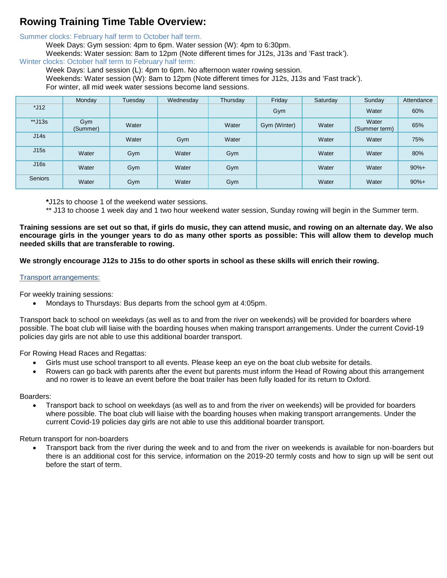## **Rowing Training Time Table Overview:**

Summer clocks: February half term to October half term.

Week Days: Gym session: 4pm to 6pm. Water session (W): 4pm to 6:30pm.

Weekends: Water session: 8am to 12pm (Note different times for J12s, J13s and 'Fast track').

Winter clocks: October half term to February half term:

Week Days: Land session (L): 4pm to 6pm. No afternoon water rowing session.

Weekends: Water session (W): 8am to 12pm (Note different times for J12s, J13s and 'Fast track').

For winter, all mid week water sessions become land sessions.

|                | Monday          | Tuesday | Wednesday | Thursday | Friday       | Saturday | Sunday                 | Attendance |
|----------------|-----------------|---------|-----------|----------|--------------|----------|------------------------|------------|
| $*J12$         |                 |         |           |          | Gym          |          | Water                  | 60%        |
| $*$ J13s       | Gym<br>(Summer) | Water   |           | Water    | Gym (Winter) | Water    | Water<br>(Summer term) | 65%        |
| J14s           |                 | Water   | Gym       | Water    |              | Water    | Water                  | 75%        |
| J15s           | Water           | Gym     | Water     | Gym      |              | Water    | Water                  | 80%        |
| J16s           | Water           | Gym     | Water     | Gym      |              | Water    | Water                  | $90%+$     |
| <b>Seniors</b> | Water           | Gym     | Water     | Gym      |              | Water    | Water                  | $90%+$     |

**\***J12s to choose 1 of the weekend water sessions.

\*\* J13 to choose 1 week day and 1 two hour weekend water session, Sunday rowing will begin in the Summer term.

**Training sessions are set out so that, if girls do music, they can attend music, and rowing on an alternate day. We also encourage girls in the younger years to do as many other sports as possible: This will allow them to develop much needed skills that are transferable to rowing.** 

## **We strongly encourage J12s to J15s to do other sports in school as these skills will enrich their rowing.**

## Transport arrangements:

For weekly training sessions:

• Mondays to Thursdays: Bus departs from the school gym at 4:05pm.

Transport back to school on weekdays (as well as to and from the river on weekends) will be provided for boarders where possible. The boat club will liaise with the boarding houses when making transport arrangements. Under the current Covid-19 policies day girls are not able to use this additional boarder transport.

For Rowing Head Races and Regattas:

- Girls must use school transport to all events. Please keep an eye on the boat club website for details.
- Rowers can go back with parents after the event but parents must inform the Head of Rowing about this arrangement and no rower is to leave an event before the boat trailer has been fully loaded for its return to Oxford.

## Boarders:

• Transport back to school on weekdays (as well as to and from the river on weekends) will be provided for boarders where possible. The boat club will liaise with the boarding houses when making transport arrangements. Under the current Covid-19 policies day girls are not able to use this additional boarder transport.

Return transport for non-boarders

• Transport back from the river during the week and to and from the river on weekends is available for non-boarders but there is an additional cost for this service, information on the 2019-20 termly costs and how to sign up will be sent out before the start of term.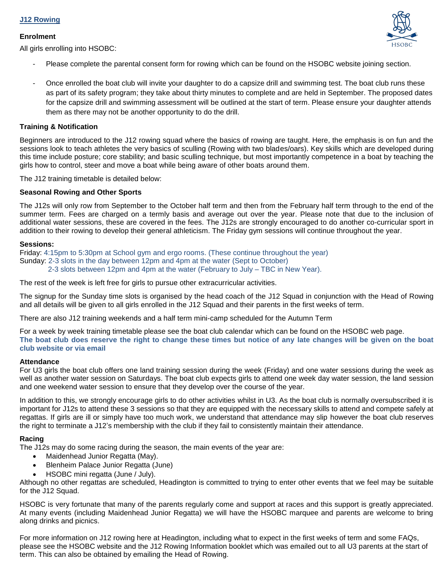## **J12 Rowing**

## **Enrolment**

All girls enrolling into HSOBC:



- Please complete the parental consent form for rowing which can be found on the HSOBC website joining section.
- Once enrolled the boat club will invite your daughter to do a capsize drill and swimming test. The boat club runs these as part of its safety program; they take about thirty minutes to complete and are held in September. The proposed dates for the capsize drill and swimming assessment will be outlined at the start of term. Please ensure your daughter attends them as there may not be another opportunity to do the drill.

## **Training & Notification**

Beginners are introduced to the J12 rowing squad where the basics of rowing are taught. Here, the emphasis is on fun and the sessions look to teach athletes the very basics of sculling (Rowing with two blades/oars). Key skills which are developed during this time include posture; core stability; and basic sculling technique, but most importantly competence in a boat by teaching the girls how to control, steer and move a boat while being aware of other boats around them.

The J12 training timetable is detailed below:

## **Seasonal Rowing and Other Sports**

The J12s will only row from September to the October half term and then from the February half term through to the end of the summer term. Fees are charged on a termly basis and average out over the year. Please note that due to the inclusion of additional water sessions, these are covered in the fees. The J12s are strongly encouraged to do another co-curricular sport in addition to their rowing to develop their general athleticism. The Friday gym sessions will continue throughout the year.

#### **Sessions:**

Friday: 4:15pm to 5:30pm at School gym and ergo rooms. (These continue throughout the year) Sunday: 2-3 slots in the day between 12pm and 4pm at the water (Sept to October) 2-3 slots between 12pm and 4pm at the water (February to July – TBC in New Year).

The rest of the week is left free for girls to pursue other extracurricular activities.

The signup for the Sunday time slots is organised by the head coach of the J12 Squad in conjunction with the Head of Rowing and all details will be given to all girls enrolled in the J12 Squad and their parents in the first weeks of term.

There are also J12 training weekends and a half term mini-camp scheduled for the Autumn Term

For a week by week training timetable please see the boat club calendar which can be found on the HSOBC web page. **The boat club does reserve the right to change these times but notice of any late changes will be given on the boat club website or via email**

## **Attendance**

For U3 girls the boat club offers one land training session during the week (Friday) and one water sessions during the week as well as another water session on Saturdays. The boat club expects girls to attend one week day water session, the land session and one weekend water session to ensure that they develop over the course of the year.

In addition to this, we strongly encourage girls to do other activities whilst in U3. As the boat club is normally oversubscribed it is important for J12s to attend these 3 sessions so that they are equipped with the necessary skills to attend and compete safely at regattas. If girls are ill or simply have too much work, we understand that attendance may slip however the boat club reserves the right to terminate a J12's membership with the club if they fail to consistently maintain their attendance.

## **Racing**

The J12s may do some racing during the season, the main events of the year are:

- Maidenhead Junior Regatta (May).
- Blenheim Palace Junior Regatta (June)
- HSOBC mini regatta (June / July).

Although no other regattas are scheduled, Headington is committed to trying to enter other events that we feel may be suitable for the J12 Squad.

HSOBC is very fortunate that many of the parents regularly come and support at races and this support is greatly appreciated. At many events (including Maidenhead Junior Regatta) we will have the HSOBC marquee and parents are welcome to bring along drinks and picnics.

For more information on J12 rowing here at Headington, including what to expect in the first weeks of term and some FAQs, please see the HSOBC website and the J12 Rowing Information booklet which was emailed out to all U3 parents at the start of term. This can also be obtained by emailing the Head of Rowing.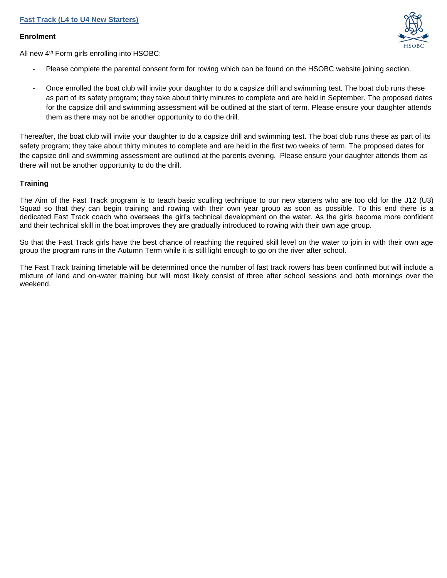## **Fast Track (L4 to U4 New Starters)**

## **Enrolment**



All new 4th Form girls enrolling into HSOBC:

- Please complete the parental consent form for rowing which can be found on the HSOBC website joining section.
- Once enrolled the boat club will invite your daughter to do a capsize drill and swimming test. The boat club runs these as part of its safety program; they take about thirty minutes to complete and are held in September. The proposed dates for the capsize drill and swimming assessment will be outlined at the start of term. Please ensure your daughter attends them as there may not be another opportunity to do the drill.

Thereafter, the boat club will invite your daughter to do a capsize drill and swimming test. The boat club runs these as part of its safety program; they take about thirty minutes to complete and are held in the first two weeks of term. The proposed dates for the capsize drill and swimming assessment are outlined at the parents evening. Please ensure your daughter attends them as there will not be another opportunity to do the drill.

## **Training**

The Aim of the Fast Track program is to teach basic sculling technique to our new starters who are too old for the J12 (U3) Squad so that they can begin training and rowing with their own year group as soon as possible. To this end there is a dedicated Fast Track coach who oversees the girl's technical development on the water. As the girls become more confident and their technical skill in the boat improves they are gradually introduced to rowing with their own age group.

So that the Fast Track girls have the best chance of reaching the required skill level on the water to join in with their own age group the program runs in the Autumn Term while it is still light enough to go on the river after school.

The Fast Track training timetable will be determined once the number of fast track rowers has been confirmed but will include a mixture of land and on-water training but will most likely consist of three after school sessions and both mornings over the weekend.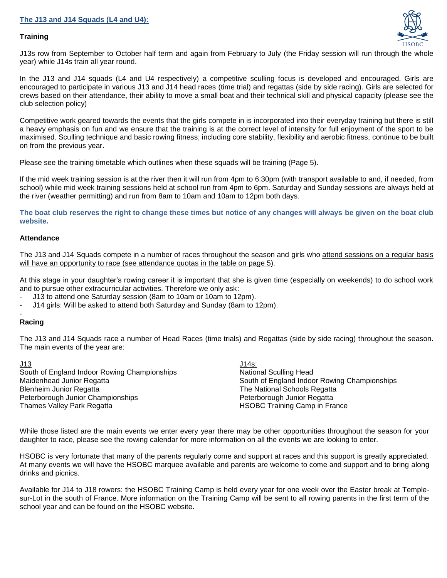## **Training**



J13s row from September to October half term and again from February to July (the Friday session will run through the whole year) while J14s train all year round.

In the J13 and J14 squads (L4 and U4 respectively) a competitive sculling focus is developed and encouraged. Girls are encouraged to participate in various J13 and J14 head races (time trial) and regattas (side by side racing). Girls are selected for crews based on their attendance, their ability to move a small boat and their technical skill and physical capacity (please see the club selection policy)

Competitive work geared towards the events that the girls compete in is incorporated into their everyday training but there is still a heavy emphasis on fun and we ensure that the training is at the correct level of intensity for full enjoyment of the sport to be maximised. Sculling technique and basic rowing fitness; including core stability, flexibility and aerobic fitness, continue to be built on from the previous year.

Please see the training timetable which outlines when these squads will be training (Page 5).

If the mid week training session is at the river then it will run from 4pm to 6:30pm (with transport available to and, if needed, from school) while mid week training sessions held at school run from 4pm to 6pm. Saturday and Sunday sessions are always held at the river (weather permitting) and run from 8am to 10am and 10am to 12pm both days.

**The boat club reserves the right to change these times but notice of any changes will always be given on the boat club website.**

## **Attendance**

The J13 and J14 Squads compete in a number of races throughout the season and girls who attend sessions on a regular basis will have an opportunity to race (see attendance quotas in the table on page 5).

At this stage in your daughter's rowing career it is important that she is given time (especially on weekends) to do school work and to pursue other extracurricular activities. Therefore we only ask:

- J13 to attend one Saturday session (8am to 10am or 10am to 12pm).
- J14 girls: Will be asked to attend both Saturday and Sunday (8am to 12pm).

#### - **Racing**

The J13 and J14 Squads race a number of Head Races (time trials) and Regattas (side by side racing) throughout the season. The main events of the year are:

| <u>J13</u>                                   | $J14s$ :                                     |
|----------------------------------------------|----------------------------------------------|
| South of England Indoor Rowing Championships | National Sculling Head                       |
| Maidenhead Junior Regatta                    | South of England Indoor Rowing Championships |
| Blenheim Junior Regatta                      | The National Schools Regatta                 |
| Peterborough Junior Championships            | Peterborough Junior Regatta                  |
| Thames Valley Park Regatta                   | <b>HSOBC Training Camp in France</b>         |

While those listed are the main events we enter every year there may be other opportunities throughout the season for your daughter to race, please see the rowing calendar for more information on all the events we are looking to enter.

HSOBC is very fortunate that many of the parents regularly come and support at races and this support is greatly appreciated. At many events we will have the HSOBC marquee available and parents are welcome to come and support and to bring along drinks and picnics.

Available for J14 to J18 rowers: the HSOBC Training Camp is held every year for one week over the Easter break at Templesur-Lot in the south of France. More information on the Training Camp will be sent to all rowing parents in the first term of the school year and can be found on the HSOBC website.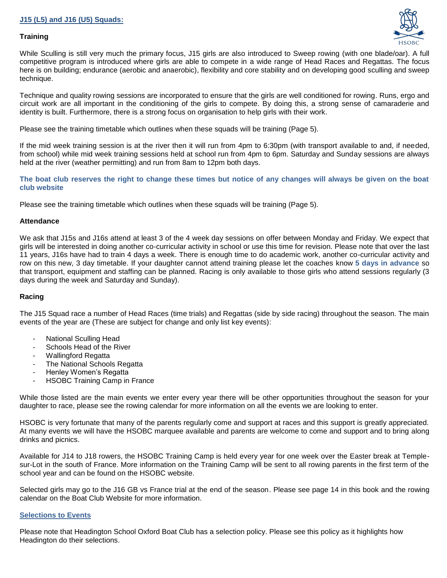## **J15 (L5) and J16 (U5) Squads:**

## **Training**



While Sculling is still very much the primary focus, J15 girls are also introduced to Sweep rowing (with one blade/oar). A full competitive program is introduced where girls are able to compete in a wide range of Head Races and Regattas. The focus here is on building; endurance (aerobic and anaerobic), flexibility and core stability and on developing good sculling and sweep technique.

Technique and quality rowing sessions are incorporated to ensure that the girls are well conditioned for rowing. Runs, ergo and circuit work are all important in the conditioning of the girls to compete. By doing this, a strong sense of camaraderie and identity is built. Furthermore, there is a strong focus on organisation to help girls with their work.

Please see the training timetable which outlines when these squads will be training (Page 5).

If the mid week training session is at the river then it will run from 4pm to 6:30pm (with transport available to and, if needed, from school) while mid week training sessions held at school run from 4pm to 6pm. Saturday and Sunday sessions are always held at the river (weather permitting) and run from 8am to 12pm both days.

**The boat club reserves the right to change these times but notice of any changes will always be given on the boat club website**

Please see the training timetable which outlines when these squads will be training (Page 5).

## **Attendance**

We ask that J15s and J16s attend at least 3 of the 4 week day sessions on offer between Monday and Friday. We expect that girls will be interested in doing another co-curricular activity in school or use this time for revision. Please note that over the last 11 years, J16s have had to train 4 days a week. There is enough time to do academic work, another co-curricular activity and row on this new, 3 day timetable. If your daughter cannot attend training please let the coaches know **5 days in advance** so that transport, equipment and staffing can be planned. Racing is only available to those girls who attend sessions regularly (3 days during the week and Saturday and Sunday).

## **Racing**

The J15 Squad race a number of Head Races (time trials) and Regattas (side by side racing) throughout the season. The main events of the year are (These are subject for change and only list key events):

- National Sculling Head
- Schools Head of the River
- Wallingford Regatta
- The National Schools Regatta
- Henley Women's Regatta
- HSOBC Training Camp in France

While those listed are the main events we enter every year there will be other opportunities throughout the season for your daughter to race, please see the rowing calendar for more information on all the events we are looking to enter.

HSOBC is very fortunate that many of the parents regularly come and support at races and this support is greatly appreciated. At many events we will have the HSOBC marquee available and parents are welcome to come and support and to bring along drinks and picnics.

Available for J14 to J18 rowers, the HSOBC Training Camp is held every year for one week over the Easter break at Templesur-Lot in the south of France. More information on the Training Camp will be sent to all rowing parents in the first term of the school year and can be found on the HSOBC website.

Selected girls may go to the J16 GB vs France trial at the end of the season. Please see page 14 in this book and the rowing calendar on the Boat Club Website for more information.

## **Selections to Events**

Please note that Headington School Oxford Boat Club has a selection policy. Please see this policy as it highlights how Headington do their selections.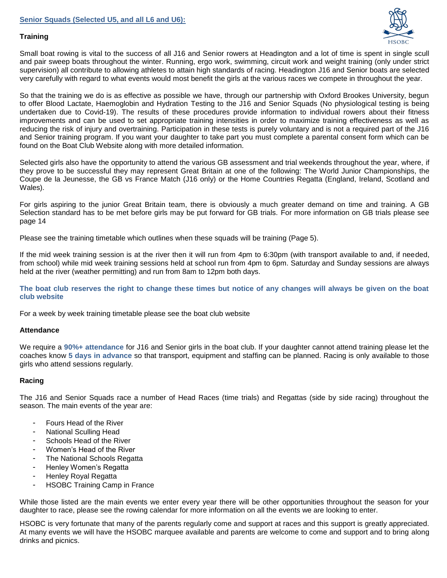

## **Training**

Small boat rowing is vital to the success of all J16 and Senior rowers at Headington and a lot of time is spent in single scull and pair sweep boats throughout the winter. Running, ergo work, swimming, circuit work and weight training (only under strict supervision) all contribute to allowing athletes to attain high standards of racing. Headington J16 and Senior boats are selected very carefully with regard to what events would most benefit the girls at the various races we compete in throughout the year.

So that the training we do is as effective as possible we have, through our partnership with Oxford Brookes University, begun to offer Blood Lactate, Haemoglobin and Hydration Testing to the J16 and Senior Squads (No physiological testing is being undertaken due to Covid-19). The results of these procedures provide information to individual rowers about their fitness improvements and can be used to set appropriate training intensities in order to maximize training effectiveness as well as reducing the risk of injury and overtraining. Participation in these tests is purely voluntary and is not a required part of the J16 and Senior training program. If you want your daughter to take part you must complete a parental consent form which can be found on the Boat Club Website along with more detailed information.

Selected girls also have the opportunity to attend the various GB assessment and trial weekends throughout the year, where, if they prove to be successful they may represent Great Britain at one of the following: The World Junior Championships, the Coupe de la Jeunesse, the GB vs France Match (J16 only) or the Home Countries Regatta (England, Ireland, Scotland and Wales).

For girls aspiring to the junior Great Britain team, there is obviously a much greater demand on time and training. A GB Selection standard has to be met before girls may be put forward for GB trials. For more information on GB trials please see page 14

Please see the training timetable which outlines when these squads will be training (Page 5).

If the mid week training session is at the river then it will run from 4pm to 6:30pm (with transport available to and, if needed, from school) while mid week training sessions held at school run from 4pm to 6pm. Saturday and Sunday sessions are always held at the river (weather permitting) and run from 8am to 12pm both days.

**The boat club reserves the right to change these times but notice of any changes will always be given on the boat club website**

For a week by week training timetable please see the boat club website

## **Attendance**

We require a **90%+ attendance** for J16 and Senior girls in the boat club. If your daughter cannot attend training please let the coaches know **5 days in advance** so that transport, equipment and staffing can be planned. Racing is only available to those girls who attend sessions regularly.

## **Racing**

The J16 and Senior Squads race a number of Head Races (time trials) and Regattas (side by side racing) throughout the season. The main events of the year are:

- Fours Head of the River
- National Sculling Head
- Schools Head of the River
- Women's Head of the River
- The National Schools Regatta
- Henley Women's Regatta
- Henley Royal Regatta
- HSOBC Training Camp in France

While those listed are the main events we enter every year there will be other opportunities throughout the season for your daughter to race, please see the rowing calendar for more information on all the events we are looking to enter.

HSOBC is very fortunate that many of the parents regularly come and support at races and this support is greatly appreciated. At many events we will have the HSOBC marquee available and parents are welcome to come and support and to bring along drinks and picnics.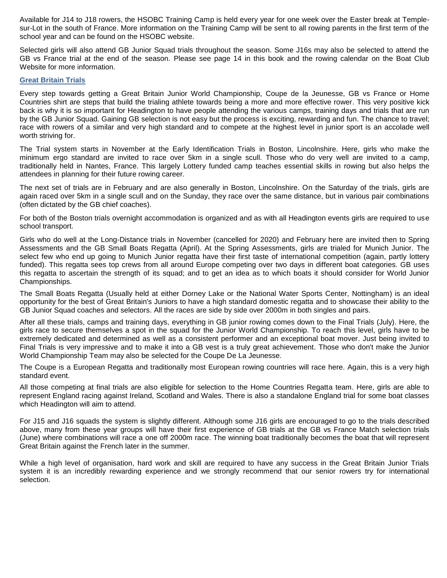Available for J14 to J18 rowers, the HSOBC Training Camp is held every year for one week over the Easter break at Templesur-Lot in the south of France. More information on the Training Camp will be sent to all rowing parents in the first term of the school year and can be found on the HSOBC website.

Selected girls will also attend GB Junior Squad trials throughout the season. Some J16s may also be selected to attend the GB vs France trial at the end of the season. Please see page 14 in this book and the rowing calendar on the Boat Club Website for more information.

## **Great Britain Trials**

Every step towards getting a Great Britain Junior World Championship, Coupe de la Jeunesse, GB vs France or Home Countries shirt are steps that build the trialing athlete towards being a more and more effective rower. This very positive kick back is why it is so important for Headington to have people attending the various camps, training days and trials that are run by the GB Junior Squad. Gaining GB selection is not easy but the process is exciting, rewarding and fun. The chance to travel; race with rowers of a similar and very high standard and to compete at the highest level in junior sport is an accolade well worth striving for.

The Trial system starts in November at the Early Identification Trials in Boston, Lincolnshire. Here, girls who make the minimum ergo standard are invited to race over 5km in a single scull. Those who do very well are invited to a camp, traditionally held in Nantes, France. This largely Lottery funded camp teaches essential skills in rowing but also helps the attendees in planning for their future rowing career.

The next set of trials are in February and are also generally in Boston, Lincolnshire. On the Saturday of the trials, girls are again raced over 5km in a single scull and on the Sunday, they race over the same distance, but in various pair combinations (often dictated by the GB chief coaches).

For both of the Boston trials overnight accommodation is organized and as with all Headington events girls are required to use school transport.

Girls who do well at the Long-Distance trials in November (cancelled for 2020) and February here are invited then to Spring Assessments and the GB Small Boats Regatta (April). At the Spring Assessments, girls are trialed for Munich Junior. The select few who end up going to Munich Junior regatta have their first taste of international competition (again, partly lottery funded). This regatta sees top crews from all around Europe competing over two days in different boat categories. GB uses this regatta to ascertain the strength of its squad; and to get an idea as to which boats it should consider for World Junior Championships.

The Small Boats Regatta (Usually held at either Dorney Lake or the National Water Sports Center, Nottingham) is an ideal opportunity for the best of Great Britain's Juniors to have a high standard domestic regatta and to showcase their ability to the GB Junior Squad coaches and selectors. All the races are side by side over 2000m in both singles and pairs.

After all these trials, camps and training days, everything in GB junior rowing comes down to the Final Trials (July). Here, the girls race to secure themselves a spot in the squad for the Junior World Championship. To reach this level, girls have to be extremely dedicated and determined as well as a consistent performer and an exceptional boat mover. Just being invited to Final Trials is very impressive and to make it into a GB vest is a truly great achievement. Those who don't make the Junior World Championship Team may also be selected for the Coupe De La Jeunesse.

The Coupe is a European Regatta and traditionally most European rowing countries will race here. Again, this is a very high standard event.

All those competing at final trials are also eligible for selection to the Home Countries Regatta team. Here, girls are able to represent England racing against Ireland, Scotland and Wales. There is also a standalone England trial for some boat classes which Headington will aim to attend.

For J15 and J16 squads the system is slightly different. Although some J16 girls are encouraged to go to the trials described above, many from these year groups will have their first experience of GB trials at the GB vs France Match selection trials (June) where combinations will race a one off 2000m race. The winning boat traditionally becomes the boat that will represent Great Britain against the French later in the summer.

While a high level of organisation, hard work and skill are required to have any success in the Great Britain Junior Trials system it is an incredibly rewarding experience and we strongly recommend that our senior rowers try for international selection.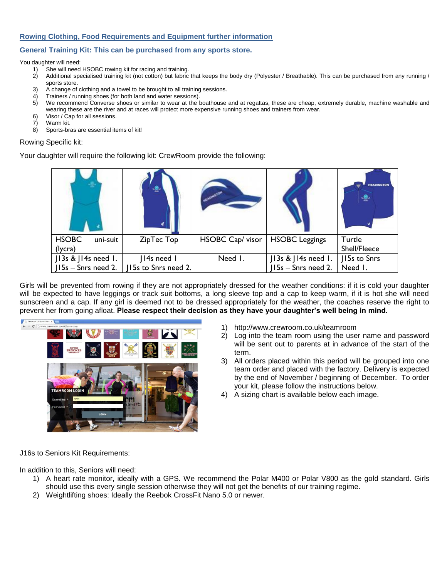## **Rowing Clothing, Food Requirements and Equipment further information**

## **General Training Kit: This can be purchased from any sports store.**

You daughter will need:

- 1) She will need HSOBC rowing kit for racing and training.
- 2) Additional specialised training kit (not cotton) but fabric that keeps the body dry (Polyester / Breathable). This can be purchased from any running / sports store.
- 3) A change of clothing and a towel to be brought to all training sessions.
- 4) Trainers / running shoes (for both land and water sessions).
- 5) We recommend Converse shoes or similar to wear at the boathouse and at regattas, these are cheap, extremely durable, machine washable and
- wearing these are the river and at races will protect more expensive running shoes and trainers from wear.
- 6) Visor / Cap for all sessions.
- 7) Warm kit.

8) Sports-bras are essential items of kit!

#### Rowing Specific kit:

Your daughter will require the following kit: CrewRoom provide the following:

|                                     |                     |                  |                       | <b>HEADINGTON</b><br>ε. |
|-------------------------------------|---------------------|------------------|-----------------------|-------------------------|
| <b>HSOBC</b><br>uni-suit<br>(lycra) | ZipTec Top          | HSOBC Cap/ visor | <b>HSOBC Leggings</b> | Turtle<br>Shell/Fleece  |
| $J13s$ & $J14s$ need 1.             | 14s need 1          | Need I.          | J13s & J14s need 1.   | 115s to Snrs            |
| $ $   15s – Snrs need 2.            | 15s to Snrs need 2. |                  | $ 15s -$ Snrs need 2. | Need I.                 |

Girls will be prevented from rowing if they are not appropriately dressed for the weather conditions: if it is cold your daughter will be expected to have leggings or track suit bottoms, a long sleeve top and a cap to keep warm, if it is hot she will need sunscreen and a cap. If any girl is deemed not to be dressed appropriately for the weather, the coaches reserve the right to prevent her from going afloat. **Please respect their decision as they have your daughter's well being in mind.**



- 1) http://www.crewroom.co.uk/teamroom
- 2) Log into the team room using the user name and password will be sent out to parents at in advance of the start of the term.
- 3) All orders placed within this period will be grouped into one team order and placed with the factory. Delivery is expected by the end of November / beginning of December. To order your kit, please follow the instructions below.
- 4) A sizing chart is available below each image.

J16s to Seniors Kit Requirements:

In addition to this, Seniors will need:

- 1) A heart rate monitor, ideally with a GPS. We recommend the Polar M400 or Polar V800 as the gold standard. Girls should use this every single session otherwise they will not get the benefits of our training regime.
- 2) Weightlifting shoes: Ideally the Reebok CrossFit Nano 5.0 or newer.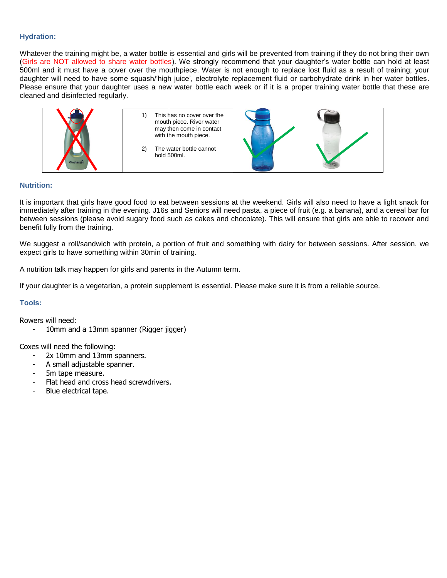## **Hydration:**

Whatever the training might be, a water bottle is essential and girls will be prevented from training if they do not bring their own (Girls are NOT allowed to share water bottles). We strongly recommend that your daughter's water bottle can hold at least 500ml and it must have a cover over the mouthpiece. Water is not enough to replace lost fluid as a result of training; your daughter will need to have some squash/'high juice', electrolyte replacement fluid or carbohydrate drink in her water bottles. Please ensure that your daughter uses a new water bottle each week or if it is a proper training water bottle that these are cleaned and disinfected regularly.



## **Nutrition:**

It is important that girls have good food to eat between sessions at the weekend. Girls will also need to have a light snack for immediately after training in the evening. J16s and Seniors will need pasta, a piece of fruit (e.g. a banana), and a cereal bar for between sessions (please avoid sugary food such as cakes and chocolate). This will ensure that girls are able to recover and benefit fully from the training.

We suggest a roll/sandwich with protein, a portion of fruit and something with dairy for between sessions. After session, we expect girls to have something within 30min of training.

A nutrition talk may happen for girls and parents in the Autumn term.

If your daughter is a vegetarian, a protein supplement is essential. Please make sure it is from a reliable source.

## **Tools:**

Rowers will need:

10mm and a 13mm spanner (Rigger jigger)

Coxes will need the following:

- 2x 10mm and 13mm spanners.
- A small adjustable spanner.
- 5m tape measure.
- Flat head and cross head screwdrivers.
- Blue electrical tape.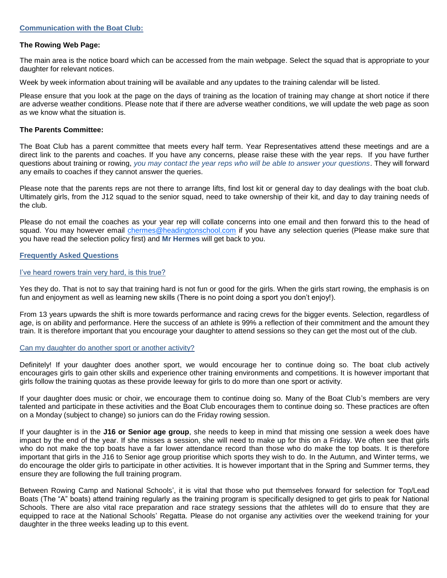### **The Rowing Web Page:**

The main area is the notice board which can be accessed from the main webpage. Select the squad that is appropriate to your daughter for relevant notices.

Week by week information about training will be available and any updates to the training calendar will be listed.

Please ensure that you look at the page on the days of training as the location of training may change at short notice if there are adverse weather conditions. Please note that if there are adverse weather conditions, we will update the web page as soon as we know what the situation is.

## **The Parents Committee:**

The Boat Club has a parent committee that meets every half term. Year Representatives attend these meetings and are a direct link to the parents and coaches. If you have any concerns, please raise these with the year reps. If you have further questions about training or rowing, *you may contact the year reps who will be able to answer your questions*. They will forward any emails to coaches if they cannot answer the queries.

Please note that the parents reps are not there to arrange lifts, find lost kit or general day to day dealings with the boat club. Ultimately girls, from the J12 squad to the senior squad, need to take ownership of their kit, and day to day training needs of the club.

Please do not email the coaches as your year rep will collate concerns into one email and then forward this to the head of squad. You may however email [chermes@headingtonschool.com](mailto:rowing@headington.org) if you have any selection queries (Please make sure that you have read the selection policy first) and **Mr Hermes** will get back to you.

## **Frequently Asked Questions**

#### I've heard rowers train very hard, is this true?

Yes they do. That is not to say that training hard is not fun or good for the girls. When the girls start rowing, the emphasis is on fun and enjoyment as well as learning new skills (There is no point doing a sport you don't enjoy!).

From 13 years upwards the shift is more towards performance and racing crews for the bigger events. Selection, regardless of age, is on ability and performance. Here the success of an athlete is 99% a reflection of their commitment and the amount they train. It is therefore important that you encourage your daughter to attend sessions so they can get the most out of the club.

## Can my daughter do another sport or another activity?

Definitely! If your daughter does another sport, we would encourage her to continue doing so. The boat club actively encourages girls to gain other skills and experience other training environments and competitions. It is however important that girls follow the training quotas as these provide leeway for girls to do more than one sport or activity.

If your daughter does music or choir, we encourage them to continue doing so. Many of the Boat Club's members are very talented and participate in these activities and the Boat Club encourages them to continue doing so. These practices are often on a Monday (subject to change) so juniors can do the Friday rowing session.

If your daughter is in the **J16 or Senior age group**, she needs to keep in mind that missing one session a week does have impact by the end of the year. If she misses a session, she will need to make up for this on a Friday. We often see that girls who do not make the top boats have a far lower attendance record than those who do make the top boats. It is therefore important that girls in the J16 to Senior age group prioritise which sports they wish to do. In the Autumn, and Winter terms, we do encourage the older girls to participate in other activities. It is however important that in the Spring and Summer terms, they ensure they are following the full training program.

Between Rowing Camp and National Schools', it is vital that those who put themselves forward for selection for Top/Lead Boats (The "A" boats) attend training regularly as the training program is specifically designed to get girls to peak for National Schools. There are also vital race preparation and race strategy sessions that the athletes will do to ensure that they are equipped to race at the National Schools' Regatta. Please do not organise any activities over the weekend training for your daughter in the three weeks leading up to this event.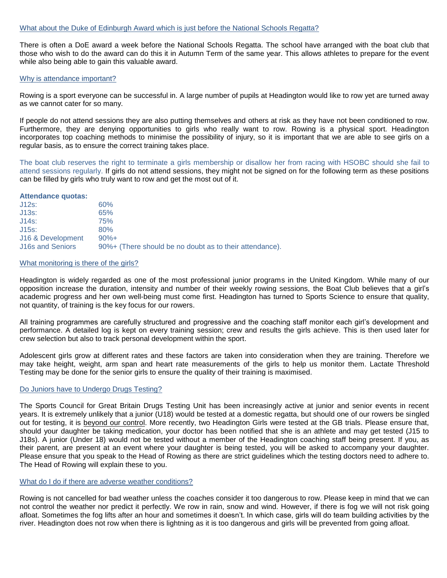There is often a DoE award a week before the National Schools Regatta. The school have arranged with the boat club that those who wish to do the award can do this it in Autumn Term of the same year. This allows athletes to prepare for the event while also being able to gain this valuable award.

#### Why is attendance important?

Rowing is a sport everyone can be successful in. A large number of pupils at Headington would like to row yet are turned away as we cannot cater for so many.

If people do not attend sessions they are also putting themselves and others at risk as they have not been conditioned to row. Furthermore, they are denying opportunities to girls who really want to row. Rowing is a physical sport. Headington incorporates top coaching methods to minimise the possibility of injury, so it is important that we are able to see girls on a regular basis, as to ensure the correct training takes place.

The boat club reserves the right to terminate a girls membership or disallow her from racing with HSOBC should she fail to attend sessions regularly. If girls do not attend sessions, they might not be signed on for the following term as these positions can be filled by girls who truly want to row and get the most out of it.

#### **Attendance quotas:**

| $J12s$ :                | 60%                                                     |
|-------------------------|---------------------------------------------------------|
| $J13s$ :                | 65%                                                     |
| $J14s$ :                | 75%                                                     |
| $J15s$ :                | 80%                                                     |
| J16 & Development       | $90%+$                                                  |
| <b>J16s and Seniors</b> | 90%+ (There should be no doubt as to their attendance). |

#### What monitoring is there of the girls?

Headington is widely regarded as one of the most professional junior programs in the United Kingdom. While many of our opposition increase the duration, intensity and number of their weekly rowing sessions, the Boat Club believes that a girl's academic progress and her own well-being must come first. Headington has turned to Sports Science to ensure that quality, not quantity, of training is the key focus for our rowers.

All training programmes are carefully structured and progressive and the coaching staff monitor each girl's development and performance. A detailed log is kept on every training session; crew and results the girls achieve. This is then used later for crew selection but also to track personal development within the sport.

Adolescent girls grow at different rates and these factors are taken into consideration when they are training. Therefore we may take height, weight, arm span and heart rate measurements of the girls to help us monitor them. Lactate Threshold Testing may be done for the senior girls to ensure the quality of their training is maximised.

#### Do Juniors have to Undergo Drugs Testing?

The Sports Council for Great Britain Drugs Testing Unit has been increasingly active at junior and senior events in recent years. It is extremely unlikely that a junior (U18) would be tested at a domestic regatta, but should one of our rowers be singled out for testing, it is beyond our control. More recently, two Headington Girls were tested at the GB trials. Please ensure that, should your daughter be taking medication, your doctor has been notified that she is an athlete and may get tested (J15 to J18s). A junior (Under 18) would not be tested without a member of the Headington coaching staff being present. If you, as their parent, are present at an event where your daughter is being tested, you will be asked to accompany your daughter. Please ensure that you speak to the Head of Rowing as there are strict guidelines which the testing doctors need to adhere to. The Head of Rowing will explain these to you.

## What do I do if there are adverse weather conditions?

Rowing is not cancelled for bad weather unless the coaches consider it too dangerous to row. Please keep in mind that we can not control the weather nor predict it perfectly. We row in rain, snow and wind. However, if there is fog we will not risk going afloat. Sometimes the fog lifts after an hour and sometimes it doesn't. In which case, girls will do team building activities by the river. Headington does not row when there is lightning as it is too dangerous and girls will be prevented from going afloat.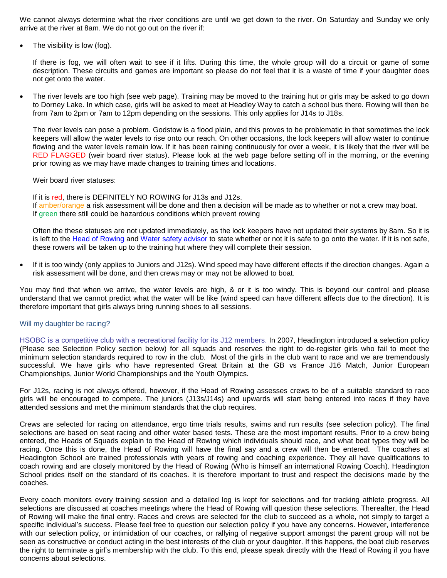We cannot always determine what the river conditions are until we get down to the river. On Saturday and Sunday we only arrive at the river at 8am. We do not go out on the river if:

The visibility is low (fog).

If there is fog, we will often wait to see if it lifts. During this time, the whole group will do a circuit or game of some description. These circuits and games are important so please do not feel that it is a waste of time if your daughter does not get onto the water.

• The river levels are too high (see web page). Training may be moved to the training hut or girls may be asked to go down to Dorney Lake. In which case, girls will be asked to meet at Headley Way to catch a school bus there. Rowing will then be from 7am to 2pm or 7am to 12pm depending on the sessions. This only applies for J14s to J18s.

The river levels can pose a problem. Godstow is a flood plain, and this proves to be problematic in that sometimes the lock keepers will allow the water levels to rise onto our reach. On other occasions, the lock keepers will allow water to continue flowing and the water levels remain low. If it has been raining continuously for over a week, it is likely that the river will be RED FLAGGED (weir board river status). Please look at the web page before setting off in the morning, or the evening prior rowing as we may have made changes to training times and locations.

#### Weir board river statuses:

If it is red, there is DEFINITELY NO ROWING for J13s and J12s. If amber/orange a risk assessment will be done and then a decision will be made as to whether or not a crew may boat. If green there still could be hazardous conditions which prevent rowing

Often the these statuses are not updated immediately, as the lock keepers have not updated their systems by 8am. So it is is left to the Head of Rowing and Water safety advisor to state whether or not it is safe to go onto the water. If it is not safe, these rowers will be taken up to the training hut where they will complete their session.

If it is too windy (only applies to Juniors and J12s). Wind speed may have different effects if the direction changes. Again a risk assessment will be done, and then crews may or may not be allowed to boat.

You may find that when we arrive, the water levels are high, & or it is too windy. This is beyond our control and please understand that we cannot predict what the water will be like (wind speed can have different affects due to the direction). It is therefore important that girls always bring running shoes to all sessions.

#### Will my daughter be racing?

HSOBC is a competitive club with a recreational facility for its J12 members. In 2007, Headington introduced a selection policy (Please see Selection Policy section below) for all squads and reserves the right to de-register girls who fail to meet the minimum selection standards required to row in the club. Most of the girls in the club want to race and we are tremendously successful. We have girls who have represented Great Britain at the GB vs France J16 Match, Junior European Championships, Junior World Championships and the Youth Olympics.

For J12s, racing is not always offered, however, if the Head of Rowing assesses crews to be of a suitable standard to race girls will be encouraged to compete. The juniors (J13s/J14s) and upwards will start being entered into races if they have attended sessions and met the minimum standards that the club requires.

Crews are selected for racing on attendance, ergo time trials results, swims and run results (see selection policy). The final selections are based on seat racing and other water based tests. These are the most important results. Prior to a crew being entered, the Heads of Squads explain to the Head of Rowing which individuals should race, and what boat types they will be racing. Once this is done, the Head of Rowing will have the final say and a crew will then be entered. The coaches at Headington School are trained professionals with years of rowing and coaching experience. They all have qualifications to coach rowing and are closely monitored by the Head of Rowing (Who is himself an international Rowing Coach). Headington School prides itself on the standard of its coaches. It is therefore important to trust and respect the decisions made by the coaches.

Every coach monitors every training session and a detailed log is kept for selections and for tracking athlete progress. All selections are discussed at coaches meetings where the Head of Rowing will question these selections. Thereafter, the Head of Rowing will make the final entry. Races and crews are selected for the club to succeed as a whole, not simply to target a specific individual's success. Please feel free to question our selection policy if you have any concerns. However, interference with our selection policy, or intimidation of our coaches, or rallying of negative support amongst the parent group will not be seen as constructive or conduct acting in the best interests of the club or your daughter. If this happens, the boat club reserves the right to terminate a girl's membership with the club. To this end, please speak directly with the Head of Rowing if you have concerns about selections.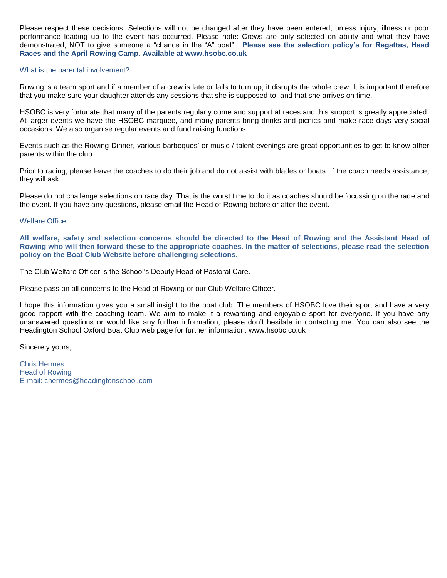Please respect these decisions. Selections will not be changed after they have been entered, unless injury, illness or poor performance leading up to the event has occurred. Please note: Crews are only selected on ability and what they have demonstrated, NOT to give someone a "chance in the "A" boat". **Please see the selection policy's for Regattas, Head Races and the April Rowing Camp. Available at www.hsobc.co.uk**

## What is the parental involvement?

Rowing is a team sport and if a member of a crew is late or fails to turn up, it disrupts the whole crew. It is important therefore that you make sure your daughter attends any sessions that she is supposed to, and that she arrives on time.

HSOBC is very fortunate that many of the parents regularly come and support at races and this support is greatly appreciated. At larger events we have the HSOBC marquee, and many parents bring drinks and picnics and make race days very social occasions. We also organise regular events and fund raising functions.

Events such as the Rowing Dinner, various barbeques' or music / talent evenings are great opportunities to get to know other parents within the club.

Prior to racing, please leave the coaches to do their job and do not assist with blades or boats. If the coach needs assistance, they will ask.

Please do not challenge selections on race day. That is the worst time to do it as coaches should be focussing on the race and the event. If you have any questions, please email the Head of Rowing before or after the event.

## Welfare Office

**All welfare, safety and selection concerns should be directed to the Head of Rowing and the Assistant Head of Rowing who will then forward these to the appropriate coaches. In the matter of selections, please read the selection policy on the Boat Club Website before challenging selections.** 

The Club Welfare Officer is the School's Deputy Head of Pastoral Care.

Please pass on all concerns to the Head of Rowing or our Club Welfare Officer.

I hope this information gives you a small insight to the boat club. The members of HSOBC love their sport and have a very good rapport with the coaching team. We aim to make it a rewarding and enjoyable sport for everyone. If you have any unanswered questions or would like any further information, please don't hesitate in contacting me. You can also see the Headington School Oxford Boat Club web page for further information: www.hsobc.co.uk

Sincerely yours,

Chris Hermes Head of Rowing E-mail: chermes@headingtonschool.com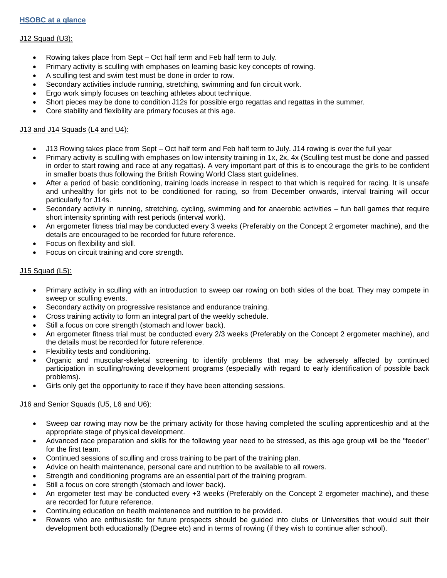## **HSOBC at a glance**

## J12 Squad (U3):

- Rowing takes place from Sept Oct half term and Feb half term to July.
- Primary activity is sculling with emphases on learning basic key concepts of rowing.
- A sculling test and swim test must be done in order to row.
- Secondary activities include running, stretching, swimming and fun circuit work.
- Ergo work simply focuses on teaching athletes about technique.
- Short pieces may be done to condition J12s for possible ergo regattas and regattas in the summer.
- Core stability and flexibility are primary focuses at this age.

## J13 and J14 Squads (L4 and U4):

- J13 Rowing takes place from Sept Oct half term and Feb half term to July. J14 rowing is over the full year
- Primary activity is sculling with emphases on low intensity training in 1x, 2x, 4x (Sculling test must be done and passed in order to start rowing and race at any regattas). A very important part of this is to encourage the girls to be confident in smaller boats thus following the British Rowing World Class start guidelines.
- After a period of basic conditioning, training loads increase in respect to that which is required for racing. It is unsafe and unhealthy for girls not to be conditioned for racing, so from December onwards, interval training will occur particularly for J14s.
- Secondary activity in running, stretching, cycling, swimming and for anaerobic activities fun ball games that require short intensity sprinting with rest periods (interval work).
- An ergometer fitness trial may be conducted every 3 weeks (Preferably on the Concept 2 ergometer machine), and the details are encouraged to be recorded for future reference.
- Focus on flexibility and skill.
- Focus on circuit training and core strength.

## J15 Squad (L5):

- Primary activity in sculling with an introduction to sweep oar rowing on both sides of the boat. They may compete in sweep or sculling events.
- Secondary activity on progressive resistance and endurance training.
- Cross training activity to form an integral part of the weekly schedule.
- Still a focus on core strength (stomach and lower back).
- An ergometer fitness trial must be conducted every 2/3 weeks (Preferably on the Concept 2 ergometer machine), and the details must be recorded for future reference.
- Flexibility tests and conditioning.
- Organic and muscular-skeletal screening to identify problems that may be adversely affected by continued participation in sculling/rowing development programs (especially with regard to early identification of possible back problems).
- Girls only get the opportunity to race if they have been attending sessions.

## J16 and Senior Squads (U5, L6 and U6):

- Sweep oar rowing may now be the primary activity for those having completed the sculling apprenticeship and at the appropriate stage of physical development.
- Advanced race preparation and skills for the following year need to be stressed, as this age group will be the "feeder" for the first team.
- Continued sessions of sculling and cross training to be part of the training plan.
- Advice on health maintenance, personal care and nutrition to be available to all rowers.
- Strength and conditioning programs are an essential part of the training program.
- Still a focus on core strength (stomach and lower back).
- An ergometer test may be conducted every +3 weeks (Preferably on the Concept 2 ergometer machine), and these are recorded for future reference.
- Continuing education on health maintenance and nutrition to be provided.
- Rowers who are enthusiastic for future prospects should be guided into clubs or Universities that would suit their development both educationally (Degree etc) and in terms of rowing (if they wish to continue after school).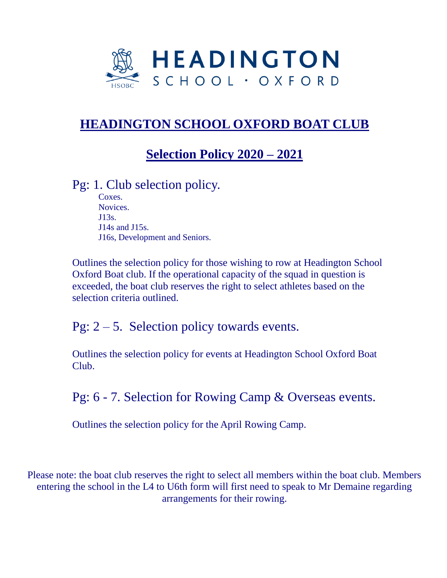

# **HEADINGTON SCHOOL OXFORD BOAT CLUB**

## **Selection Policy 2020 – 2021**

## Pg: 1. Club selection policy.

Coxes. Novices. J13s. J14s and J15s. J16s, Development and Seniors.

Outlines the selection policy for those wishing to row at Headington School Oxford Boat club. If the operational capacity of the squad in question is exceeded, the boat club reserves the right to select athletes based on the selection criteria outlined.

Pg:  $2 - 5$ . Selection policy towards events.

Outlines the selection policy for events at Headington School Oxford Boat Club.

Pg: 6 - 7. Selection for Rowing Camp & Overseas events.

Outlines the selection policy for the April Rowing Camp.

Please note: the boat club reserves the right to select all members within the boat club. Members entering the school in the L4 to U6th form will first need to speak to Mr Demaine regarding arrangements for their rowing.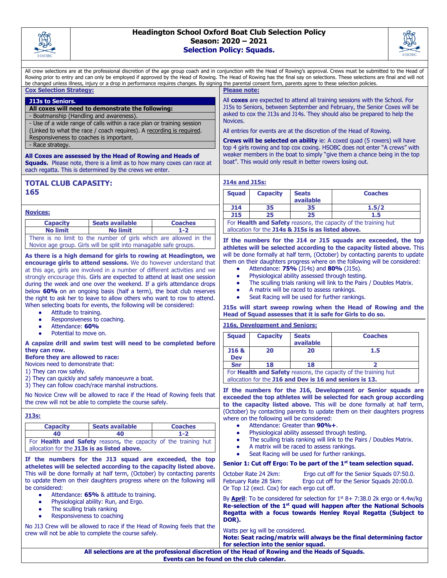

## **Headington School Oxford Boat Club Selection Policy Season: 2020 – 2021 Selection Policy: Squads.**



All crew selections are at the professional discretion of the age group coach and in conjunction with the Head of Rowing's approval. Crews must be submitted to the Head of Rowing prior to entry and can only be employed if approved by the Head of Rowing. The Head of Rowing has the final say on selections. These selections are final and will not be changed unless illness, injury or a drop in performance requires changes. By signing the parental consent form, parents agree to these selection policies. **Cox Selection Strategy: J13s to Seniors. All coxes will need to demonstrate the following:** - Boatmanship (Handling and awareness). - Use of a wide range of calls within a race plan or training session (Linked to what the race / coach requires). A recording is required. Responsiveness to coaches is important. - Race strategy. **All Coxes are assessed by the Head of Rowing and Heads of Squads.** Please note, there is a limit as to how many coxes can race at each regatta. This is determined by the crews we enter. **Please note:** All **coxes** are expected to attend all training sessions with the School. For J15s to Seniors, between September and February, the Senior Coxes will be asked to cox the J13s and J14s. They should also be prepared to help the Novices. All entries for events are at the discretion of the Head of Rowing. **Crews will be selected on ability** ie: A coxed quad (5 rowers) will have top 4 girls rowing and top cox coxing. HSOBC does not enter "A crews" with weaker members in the boat to simply "give them a chance being in the top boat". This would only result in better rowers losing out. **TOTAL CLUB CAPASITY: 165 J14s and J15s: Squad Capacity Seats available Coaches J14 35 35 1.5/2 J15 25 25 1.5** For **Health and Safety** reasons, the capacity of the training hut allocation for the **J14s & J15s is as listed above. If the numbers for the J14 or J15 squads are exceeded, the top athletes will be selected according to the capacity listed above.** This will be done formally at half term, (October) by contacting parents to update them on their daughters progress where on the following will be considered: ● Attendance: **75%** (J14s) and **80%** (J15s). Physiological ability assessed through testing. The sculling trials ranking will link to the Pairs / Doubles Matrix. A matrix will be raced to assess rankings. Seat Racing will be used for further rankings. **J15s will start sweep rowing when the Head of Rowing and the Head of Squad assesses that it is safe for Girls to do so. J16s, Development and Seniors: Squad Capacity Seats available Coaches J16 & Dev 20 20 1.5 Snr 18 18 2** For **Health and Safety** reasons, the capacity of the training hut allocation for the **J16 and Dev is 16 and seniors is 13. If the numbers for the J16, Development or Senior squads are exceeded the top athletes will be selected for each group according to the capacity listed above.** This will be done formally at half term, (October) by contacting parents to update them on their daughters progress where on the following will be considered: Attendance: Greater than 90%+. Physiological ability assessed through testing. The sculling trials ranking will link to the Pairs / Doubles Matrix. A matrix will be raced to assess rankings. Seat Racing will be used for further rankings. **Senior 1: Cut off Ergo: To be part of the 1st team selection squad.** October Rate 24 2km: Ergo cut off for the Senior Squads 07:50.0. February Rate 28 5km: Ergo cut off for the Senior Squads 20:00.0. Or Top 12 (excl. Cox) for each ergo cut off. By **April**: To be considered for selection for 1<sup>st</sup> 8+ 7:38.0 2k ergo or 4.4w/kg **Re-selection of the 1st quad will happen after the National Schools Regatta with a focus towards Henley Royal Regatta (Subject to DOR).** Watts per kg will be considered. **Note: Seat racing/matrix will always be the final determining factor for selection into the senior squad. Novices: Capacity Seats available Coaches No limit No limit 1-2** There is no limit to the number of girls which are allowed in the Novice age group. Girls will be split into managable safe groups. **As there is a high demand for girls to rowing at Headington, we encourage girls to attend sessions.** We do however understand that at this age, girls are involved in a number of different activities and we strongly encourage this. Girls are expected to attend at least one session during the week and one over the weekend. If a girls attendance drops below **60%** on an ongoing basis (half a term), the boat club reserves the right to ask her to leave to allow others who want to row to attend. When selecting boats for events, the following will be considered: ● Attitude to training. • Responsiveness to coaching. ● Attendance: **60%** Potential to move on. **A capsize drill and swim test will need to be completed before they can row. Before they are allowed to race:** Novices need to demonstrate that: 1) They can row safely. 2) They can quickly and safely manoeuvre a boat. 3) They can follow coach/race marshal instructions. No Novice Crew will be allowed to race if the Head of Rowing feels that the crew will not be able to complete the course safely. **J13s: Capacity Seats available Coaches 40 40 1-2** For **Health and Safety** reasons**,** the capacity of the training hut allocation for the **J13s is as listed above. If the numbers for the J13 squad are exceeded, the top atheletes will be selected according to the capacity listed above.** This will be done formally at half term, (October) by contacting parents to update them on their daughters progress where on the following will be considered: Attendance: 65% & attitude to training. ● Physiological ability: Run, and Ergo. • The sculling trials ranking Responsiveness to coaching No J13 Crew will be allowed to race if the Head of Rowing feels that the crew will not be able to complete the course safely. **All selections are at the professional discretion of the Head of Rowing and the Heads of Squads. Events can be found on the club calendar.**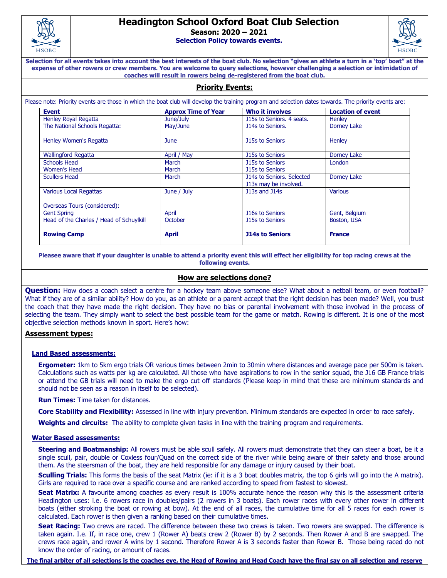

## **Headington School Oxford Boat Club Selection**

**Season: 2020 – 2021**

**Selection Policy towards events.** 



**Selection for all events takes into account the best interests of the boat club. No selection "gives an athlete a turn in a 'top' boat" at the expense of other rowers or crew members. You are welcome to query selections, however challenging a selection or intimidation of coaches will result in rowers being de-registered from the boat club.**

## **Priority Events:**

Please note: Priority events are those in which the boat club will develop the training program and selection dates towards. The priority events are:

| <b>Event</b>                             | <b>Approx Time of Year</b> | <b>Who it involves</b>                             | <b>Location of event</b> |
|------------------------------------------|----------------------------|----------------------------------------------------|--------------------------|
| Henley Royal Regatta                     | June/July                  | J15s to Seniors, 4 seats.                          | Henley                   |
| The National Schools Regatta:            | May/June                   | <b>J14s to Seniors.</b>                            | <b>Dorney Lake</b>       |
| <b>Henley Women's Regatta</b>            | June                       | <b>J15s to Seniors</b>                             | Henley                   |
| <b>Wallingford Regatta</b>               | April / May                | <b>J15s to Seniors</b>                             | Dorney Lake              |
| <b>Schools Head</b>                      | March                      | <b>J15s to Seniors</b>                             | London                   |
| Women's Head                             | March                      | <b>J15s to Seniors</b>                             |                          |
| <b>Scullers Head</b>                     | March                      | J14s to Seniors. Selected<br>J13s may be involved. | <b>Dorney Lake</b>       |
| <b>Various Local Regattas</b>            | June / July                | J13s and J14s                                      | <b>Various</b>           |
| Overseas Tours (considered):             |                            |                                                    |                          |
| <b>Gent Spring</b>                       | April                      | <b>J16s to Seniors</b>                             | Gent, Belgium            |
| Head of the Charles / Head of Schuylkill | October                    | <b>J15s to Seniors</b>                             | Boston, USA              |
| <b>Rowing Camp</b>                       | <b>April</b>               | <b>J14s to Seniors</b>                             | <b>France</b>            |

**Pleasee aware that if your daughter is unable to attend a priority event this will effect her eligibility for top racing crews at the following events.**

## **How are selections done?**

**Question:** How does a coach select a centre for a hockey team above someone else? What about a netball team, or even football? What if they are of a similar ability? How do you, as an athlete or a parent accept that the right decision has been made? Well, you trust the coach that they have made the right decision. They have no bias or parental involvement with those involved in the process of selecting the team. They simply want to select the best possible team for the game or match. Rowing is different. It is one of the most objective selection methods known in sport. Here's how:

## **Assessment types:**

#### **Land Based assessments:**

**Ergometer:** 1km to 5km ergo trials OR various times between 2min to 30min where distances and average pace per 500m is taken. Calculations such as watts per kg are calculated. All those who have aspirations to row in the senior squad, the J16 GB France trials or attend the GB trials will need to make the ergo cut off standards (Please keep in mind that these are minimum standards and should not be seen as a reason in itself to be selected).

**Run Times:** Time taken for distances.

**Core Stability and Flexibility:** Assessed in line with injury prevention. Minimum standards are expected in order to race safely.

**Weights and circuits:** The ability to complete given tasks in line with the training program and requirements.

#### **Water Based assessments:**

**Steering and Boatmanship:** All rowers must be able scull safely. All rowers must demonstrate that they can steer a boat, be it a single scull, pair, double or Coxless four/Quad on the correct side of the river while being aware of their safety and those around them. As the steersman of the boat, they are held responsible for any damage or injury caused by their boat.

**Sculling Trials:** This forms the basis of the seat Matrix (ie: if it is a 3 boat doubles matrix, the top 6 girls will go into the A matrix). Girls are required to race over a specific course and are ranked according to speed from fastest to slowest.

**Seat Matrix:** A favourite among coaches as every result is 100% accurate hence the reason why this is the assessment criteria Headington uses: i.e. 6 rowers race in doubles/pairs (2 rowers in 3 boats). Each rower races with every other rower in different boats (either stroking the boat or rowing at bow). At the end of all races, the cumulative time for all 5 races for each rower is calculated. Each rower is then given a ranking based on their cumulative times.

**Seat Racing:** Two crews are raced. The difference between these two crews is taken. Two rowers are swapped. The difference is taken again. I.e. If, in race one, crew 1 (Rower A) beats crew 2 (Rower B) by 2 seconds. Then Rower A and B are swapped. The crews race again, and rower A wins by 1 second. Therefore Rower A is 3 seconds faster than Rower B. Those being raced do not know the order of racing, or amount of races.

**The final arbiter of all selections is the coaches eye, the Head of Rowing and Head Coach have the final say on all selection and reserve**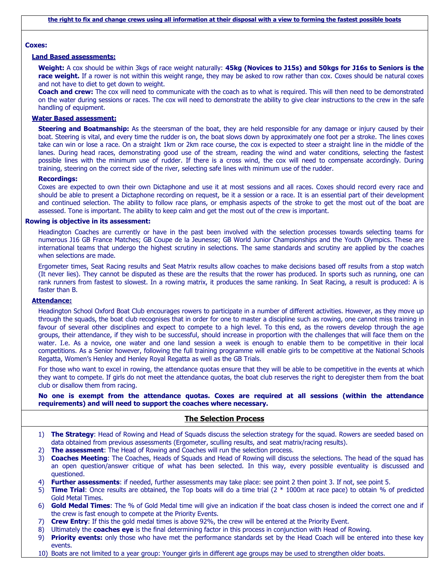#### **Coxes:**

#### **Land Based assessments:**

**Weight:** A cox should be within 3kgs of race weight naturally: **45kg (Novices to J15s) and 50kgs for J16s to Seniors is the**  race weight. If a rower is not within this weight range, they may be asked to row rather than cox. Coxes should be natural coxes and not have to diet to get down to weight.

**Coach and crew:** The cox will need to communicate with the coach as to what is required. This will then need to be demonstrated on the water during sessions or races. The cox will need to demonstrate the ability to give clear instructions to the crew in the safe handling of equipment.

#### **Water Based assessment:**

**Steering and Boatmanship:** As the steersman of the boat, they are held responsible for any damage or injury caused by their boat. Steering is vital, and every time the rudder is on, the boat slows down by approximately one foot per a stroke. The lines coxes take can win or lose a race. On a straight 1km or 2km race course, the cox is expected to steer a straight line in the middle of the lanes. During head races, demonstrating good use of the stream, reading the wind and water conditions, selecting the fastest possible lines with the minimum use of rudder. If there is a cross wind, the cox will need to compensate accordingly. During training, steering on the correct side of the river, selecting safe lines with minimum use of the rudder.

#### **Recordings:**

Coxes are expected to own their own Dictaphone and use it at most sessions and all races. Coxes should record every race and should be able to present a Dictaphone recording on request, be it a session or a race. It is an essential part of their development and continued selection. The ability to follow race plans, or emphasis aspects of the stroke to get the most out of the boat are assessed. Tone is important. The ability to keep calm and get the most out of the crew is important.

#### **Rowing is objective in its assessment:**

Headington Coaches are currently or have in the past been involved with the selection processes towards selecting teams for numerous J16 GB France Matches; GB Coupe de la Jeunesse; GB World Junior Championships and the Youth Olympics. These are international teams that undergo the highest scrutiny in selections. The same standards and scrutiny are applied by the coaches when selections are made.

Ergometer times, Seat Racing results and Seat Matrix results allow coaches to make decisions based off results from a stop watch (It never lies). They cannot be disputed as these are the results that the rower has produced. In sports such as running, one can rank runners from fastest to slowest. In a rowing matrix, it produces the same ranking. In Seat Racing, a result is produced: A is faster than B.

#### **Attendance:**

Headington School Oxford Boat Club encourages rowers to participate in a number of different activities. However, as they move up through the squads, the boat club recognises that in order for one to master a discipline such as rowing, one cannot miss training in favour of several other disciplines and expect to compete to a high level. To this end, as the rowers develop through the age groups, their attendance, if they wish to be successful, should increase in proportion with the challenges that will face them on the water. I.e. As a novice, one water and one land session a week is enough to enable them to be competitive in their local competitions. As a Senior however, following the full training programme will enable girls to be competitive at the National Schools Regatta, Women's Henley and Henley Royal Regatta as well as the GB Trials.

For those who want to excel in rowing, the attendance quotas ensure that they will be able to be competitive in the events at which they want to compete. If girls do not meet the attendance quotas, the boat club reserves the right to deregister them from the boat club or disallow them from racing.

#### **No one is exempt from the attendance quotas. Coxes are required at all sessions (within the attendance requirements) and will need to support the coaches where necessary.**

#### **The Selection Process**

- 1) **The Strategy**: Head of Rowing and Head of Squads discuss the selection strategy for the squad. Rowers are seeded based on data obtained from previous assessments (Ergometer, sculling results, and seat matrix/racing results).
- 2) **The assessment**: The Head of Rowing and Coaches will run the selection process.
- 3) **Coaches Meeting**: The Coaches, Heads of Squads and Head of Rowing will discuss the selections. The head of the squad has an open question/answer critique of what has been selected. In this way, every possible eventuality is discussed and questioned.
- 4) **Further assessments**: if needed, further assessments may take place: see point 2 then point 3. If not, see point 5.
- 5) **Time Trial**: Once results are obtained, the Top boats will do a time trial (2 \* 1000m at race pace) to obtain % of predicted Gold Metal Times.
- 6) **Gold Medal Times**: The % of Gold Medal time will give an indication if the boat class chosen is indeed the correct one and if the crew is fast enough to compete at the Priority Events.
- 7) **Crew Entry**: If this the gold medal times is above 92%, the crew will be entered at the Priority Event.
- 8) Ultimately the **coaches eye** is the final determining factor in this process in conjunction with Head of Rowing.
- 9) **Priority events:** only those who have met the performance standards set by the Head Coach will be entered into these key events.
- 10) Boats are not limited to a year group: Younger girls in different age groups may be used to strengthen older boats.